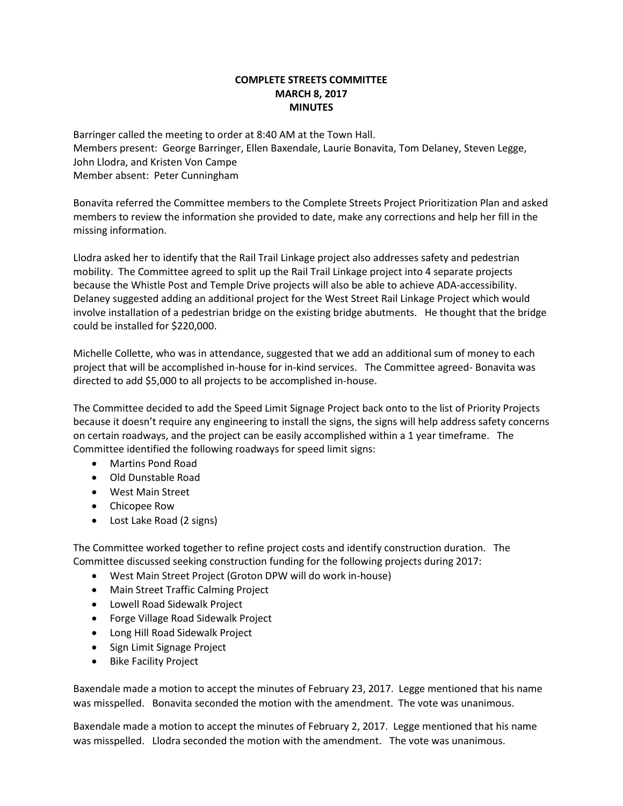## **COMPLETE STREETS COMMITTEE MARCH 8, 2017 MINUTES**

Barringer called the meeting to order at 8:40 AM at the Town Hall. Members present: George Barringer, Ellen Baxendale, Laurie Bonavita, Tom Delaney, Steven Legge, John Llodra, and Kristen Von Campe Member absent: Peter Cunningham

Bonavita referred the Committee members to the Complete Streets Project Prioritization Plan and asked members to review the information she provided to date, make any corrections and help her fill in the missing information.

Llodra asked her to identify that the Rail Trail Linkage project also addresses safety and pedestrian mobility. The Committee agreed to split up the Rail Trail Linkage project into 4 separate projects because the Whistle Post and Temple Drive projects will also be able to achieve ADA-accessibility. Delaney suggested adding an additional project for the West Street Rail Linkage Project which would involve installation of a pedestrian bridge on the existing bridge abutments. He thought that the bridge could be installed for \$220,000.

Michelle Collette, who was in attendance, suggested that we add an additional sum of money to each project that will be accomplished in-house for in-kind services. The Committee agreed- Bonavita was directed to add \$5,000 to all projects to be accomplished in-house.

The Committee decided to add the Speed Limit Signage Project back onto to the list of Priority Projects because it doesn't require any engineering to install the signs, the signs will help address safety concerns on certain roadways, and the project can be easily accomplished within a 1 year timeframe. The Committee identified the following roadways for speed limit signs:

- Martins Pond Road
- Old Dunstable Road
- West Main Street
- Chicopee Row
- Lost Lake Road (2 signs)

The Committee worked together to refine project costs and identify construction duration. The Committee discussed seeking construction funding for the following projects during 2017:

- West Main Street Project (Groton DPW will do work in-house)
- Main Street Traffic Calming Project
- Lowell Road Sidewalk Project
- Forge Village Road Sidewalk Project
- Long Hill Road Sidewalk Project
- Sign Limit Signage Project
- Bike Facility Project

Baxendale made a motion to accept the minutes of February 23, 2017. Legge mentioned that his name was misspelled. Bonavita seconded the motion with the amendment. The vote was unanimous.

Baxendale made a motion to accept the minutes of February 2, 2017. Legge mentioned that his name was misspelled. Llodra seconded the motion with the amendment. The vote was unanimous.